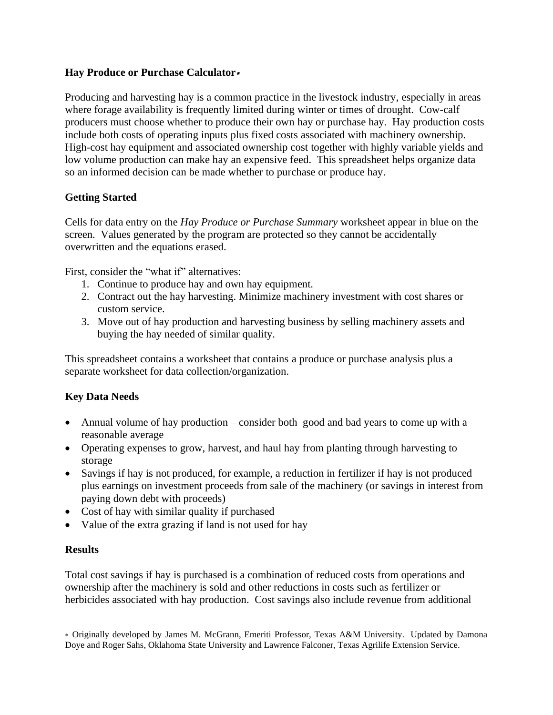## **Hay Produce or Purchase Calculator**

Producing and harvesting hay is a common practice in the livestock industry, especially in areas where forage availability is frequently limited during winter or times of drought. Cow-calf producers must choose whether to produce their own hay or purchase hay. Hay production costs include both costs of operating inputs plus fixed costs associated with machinery ownership. High-cost hay equipment and associated ownership cost together with highly variable yields and low volume production can make hay an expensive feed. This spreadsheet helps organize data so an informed decision can be made whether to purchase or produce hay.

# **Getting Started**

Cells for data entry on the *Hay Produce or Purchase Summary* worksheet appear in blue on the screen. Values generated by the program are protected so they cannot be accidentally overwritten and the equations erased.

First, consider the "what if" alternatives:

- 1. Continue to produce hay and own hay equipment.
- 2. Contract out the hay harvesting. Minimize machinery investment with cost shares or custom service.
- 3. Move out of hay production and harvesting business by selling machinery assets and buying the hay needed of similar quality.

This spreadsheet contains a worksheet that contains a produce or purchase analysis plus a separate worksheet for data collection/organization.

# **Key Data Needs**

- Annual volume of hay production consider both good and bad years to come up with a reasonable average
- Operating expenses to grow, harvest, and haul hay from planting through harvesting to storage
- Savings if hay is not produced, for example, a reduction in fertilizer if hay is not produced plus earnings on investment proceeds from sale of the machinery (or savings in interest from paying down debt with proceeds)
- Cost of hay with similar quality if purchased
- Value of the extra grazing if land is not used for hay

### **Results**

Total cost savings if hay is purchased is a combination of reduced costs from operations and ownership after the machinery is sold and other reductions in costs such as fertilizer or herbicides associated with hay production. Cost savings also include revenue from additional

 Originally developed by James M. McGrann, Emeriti Professor, Texas A&M University. Updated by Damona Doye and Roger Sahs, Oklahoma State University and Lawrence Falconer, Texas Agrilife Extension Service.